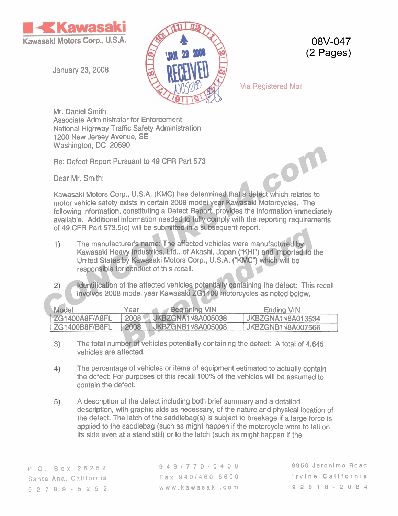

January 23,2008



08V-047 (2 Pages)

Via Registered Mail

Mr. Daniel Smith Associate Administrator for Enforcement National Highway Traffic Safety Administration 1200 New Jersey Avenue, SE Washington, DC 20590

Re: Defect Report Pursuant to 49 CFR Part 573

Dear Mr. Smith:

Kawasaki Motors Corp., U.S.A. (KMC) has determined that a defect which relates to motor vehicle safety exists in certain 2008 model year Kawasaki Motorcycles. The following information, constituting a Defect Report, provides the information immediately available. Additional information needed to fully comply with the reporting requirements of 49 CFR Part 573.5(c) will be submitted in a subsequent report. **Example 1.** De 20030<br> **CONCOURS 1.** Dealer Report Pursuant to 49 CFR Part 573<br>
Dear Mr. Smith:<br>
Kawasaki Motors Corp., U.S.A. (KMC) has determined that a defect which relates to<br>
motor vehicle sative wists in certain 2008

- The manufacturer's name: The affected vehicles were manufactured by Kawasaki Heavy Industries, Ltd., of Akashi, Japan ("KHI") and imported to the United States by Kawasaki Motors Corp., U.S.A. ("KMC") which will be responsible for conduct of this recall. **Example 2018**<br> *Bikeland:* The affected vehicles were manufactured by<br> **Bikeland.org**<br> **Bikeland.org**<br> **Bikeland.org**<br> **Bikeland.org**<br> **Bikeland.org**<br> **Bighthing VIN**<br> **Bikeland.org**<br> **Bikeland Manufacture Containing the**
- Identification of the affected vehicles potentially containing the defect: This recall involves 2008 model year Kawasaki ZG1400 motorcycles as noted below.

| Model                 | Year | /Beginning VIN           | <b>Ending VIN</b>        |
|-----------------------|------|--------------------------|--------------------------|
| ZG1400A8F/A8FL        | 2008 | <b>JKBZGNA1V8A005038</b> | JKBZGNA1V8A013534        |
| <b>ZG1400B8F/B8FL</b> | 2008 | <b>JKBZGNB1V8A005008</b> | <b>JKBZGNB1V8A007566</b> |

- 3) The total number of vehicles potentially containing the defect: A total of 4,645 vehicles are affected.
- The percentage of vehicles or items of equipment estimated to actually contain  $4)$ the defect: For purposes of this recall 100% of the vehicles will be assumed to contain the defect.
- A description of the defect including both brief summary and a detailed 5) description, with graphic aids as necessary, of the nature and physical location of the defect: The latch of the saddlebag(s) is subject to breakage if a large force is applied to the saddlebag (such as might happen if the motorcycle were to fall on its side even at a stand still) or to the latch (such as might happen if the

**9491770-0400 Fax 9491460-5600 www.kawasaki.com** 

**9950 Jeronimo Road Irvine,California 9261 8-2084**